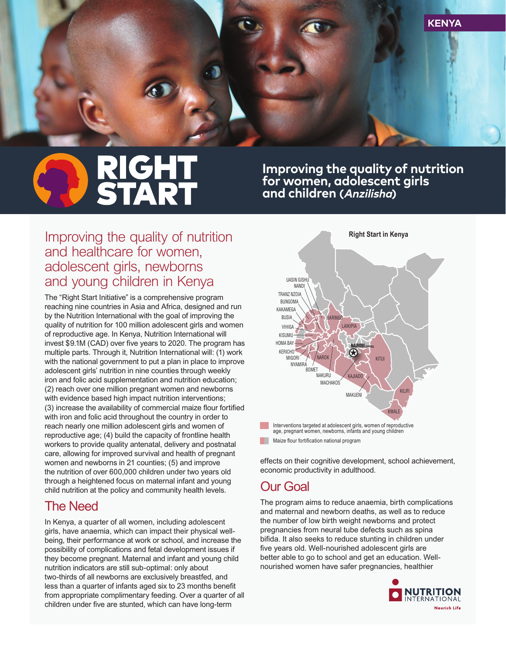

# **RIGHT<br>START**

**Improving the quality of nutrition for women, adolescent girls and children (Anzilisha)**

### *Improving the quality of nutrition and healthcare for women, adolescent girls, newborns and young children in Kenya*

*The "Right Start Initiative" is a comprehensive program reaching nine countries in Asia and Africa, designed and run by the Nutrition International with the goal of improving the quality of nutrition for 100 million adolescent girls and women of reproductive age. In Kenya, Nutrition International will*  invest \$9.1M (CAD) over five years to 2020. The program has *multiple parts. Through it, Nutrition International will: (1) work with the national government to put a plan in place to improve adolescent girls' nutrition in nine counties through weekly iron and folic acid supplementation and nutrition education; (2) reach over one million pregnant women and newborns with evidence based high impact nutrition interventions;*  (3) increase the availability of commercial maize flour fortified *with iron and folic acid throughout the country in order to reach nearly one million adolescent girls and women of reproductive age; (4) build the capacity of frontline health workers to provide quality antenatal, delivery and postnatal care, allowing for improved survival and health of pregnant women and newborns in 21 counties; (5) and improve the nutrition of over 600,000 children under two years old through a heightened focus on maternal infant and young child nutrition at the policy and community health levels.*

### *The Need*

*In Kenya, a quarter of all women, including adolescent girls, have anaemia, which can impact their physical wellbeing, their performance at work or school, and increase the possibility of complications and fetal development issues if they become pregnant. Maternal and infant and young child nutrition indicators are still sub-optimal: only about two-thirds of all newborns are exclusively breastfed, and*  less than a quarter of infants aged six to 23 months benefit *from appropriate complimentary feeding. Over a quarter of all*  children under five are stunted, which can have long-term



*effects on their cognitive development, school achievement, economic productivity in adulthood.*

### *Our Goal*

*The program aims to reduce anaemia, birth complications and maternal and newborn deaths, as well as to reduce the number of low birth weight newborns and protect pregnancies from neural tube defects such as spina*  bifida. It also seeks to reduce stunting in children under *fi ve years old. Well-nourished adolescent girls are better able to go to school and get an education. Wellnourished women have safer pregnancies, healthier*